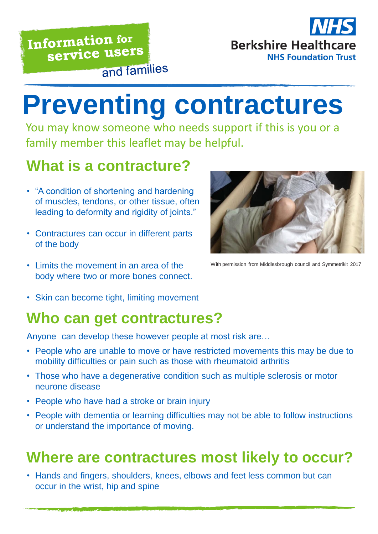# **Berkshire Healthcare NHS Foundation Trust**

# **Preventing contractures**

You may know someone who needs support if this is you or a family member this leaflet may be helpful.

## **What is a contracture?**

- "A condition of shortening and hardening of muscles, tendons, or other tissue, often leading to deformity and rigidity of joints."
- Contractures can occur in different parts of the body
- Limits the movement in an area of the body where two or more bones connect.



With permission from Middlesbrough council and Symmetrikit 2017

• Skin can become tight, limiting movement

#### **Who can get contractures?**

Anyone can develop these however people at most risk are…

- People who are unable to move or have restricted movements this may be due to mobility difficulties or pain such as those with rheumatoid arthritis
- Those who have a degenerative condition such as multiple sclerosis or motor neurone disease
- People who have had a stroke or brain injury
- People with dementia or learning difficulties may not be able to follow instructions or understand the importance of moving.

#### **Where are contractures most likely to occur?**

• Hands and fingers, shoulders, knees, elbows and feet less common but can occur in the wrist, hip and spine